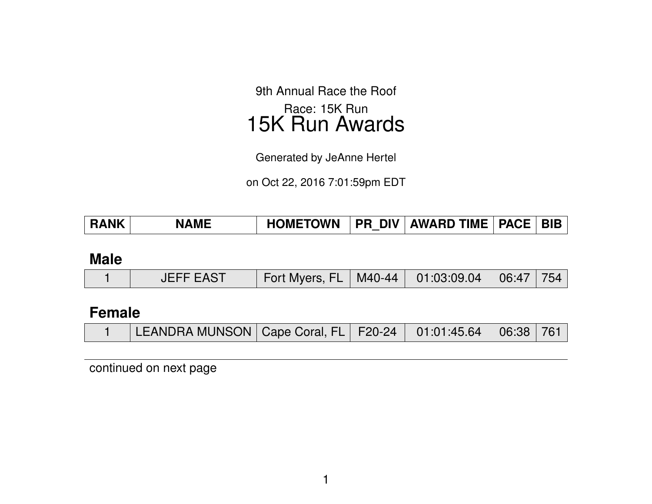9th Annual Race the Roof Race: 15K Run 15K Run Awards

Generated by JeAnne Hertel

on Oct 22, 2016 7:01:59pm EDT

| <b>RANK</b> | <b>NAME</b> | <b>HOMETOWN</b> |  | PR DIV   AWARD TIME   PACE   BIB |  |  |
|-------------|-------------|-----------------|--|----------------------------------|--|--|
|-------------|-------------|-----------------|--|----------------------------------|--|--|

#### **Male**

|  | <b>JEFF EAST</b> | Fort Myers, FL   M40-44   01:03:09.04   06:47   754 |  |  |  |  |
|--|------------------|-----------------------------------------------------|--|--|--|--|
|--|------------------|-----------------------------------------------------|--|--|--|--|

### **Female**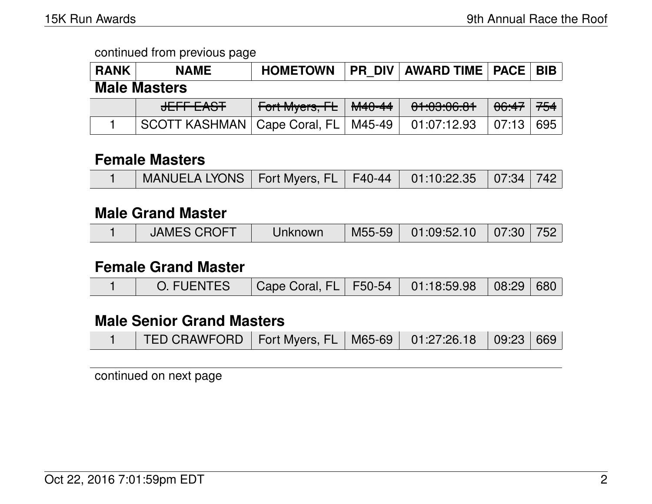| <b>RANK</b> | <b>NAME</b>                             | <b>HOMETOWN</b>         | <b>PR DIV AWARD TIME   PACE   BIB</b> |                  |     |
|-------------|-----------------------------------------|-------------------------|---------------------------------------|------------------|-----|
|             | <b>Male Masters</b>                     |                         |                                       |                  |     |
|             | <del>JEFF EAST</del>                    | Fort Myers, FL   M40-44 | 01:03:06.81                           | <del>06:47</del> | 754 |
|             | SCOTT KASHMAN   Cape Coral, FL   M45-49 |                         | 01:07:12.93                           | 07:13            | 695 |

## **Female Masters**

|  | MANUELA LYONS   Fort Myers, FL   F40-44   01:10:22.35   07:34   742 |  |  |  |  |  |
|--|---------------------------------------------------------------------|--|--|--|--|--|
|--|---------------------------------------------------------------------|--|--|--|--|--|

### **Male Grand Master**

|  | <b>JAMES CROFT</b> | Unknown |  | M55-59 01:09:52.10 07:30 752 |  |  |
|--|--------------------|---------|--|------------------------------|--|--|
|--|--------------------|---------|--|------------------------------|--|--|

### **Female Grand Master**

|  | O. FUENTES   Cape Coral, FL   F50-54   01:18:59.98   08:29   680 |  |  |  |  |  |
|--|------------------------------------------------------------------|--|--|--|--|--|
|--|------------------------------------------------------------------|--|--|--|--|--|

## **Male Senior Grand Masters**

|  | TED CRAWFORD   Fort Myers, FL   M65-69   01:27:26.18   09:23   669 |  |  |  |  |  |
|--|--------------------------------------------------------------------|--|--|--|--|--|
|--|--------------------------------------------------------------------|--|--|--|--|--|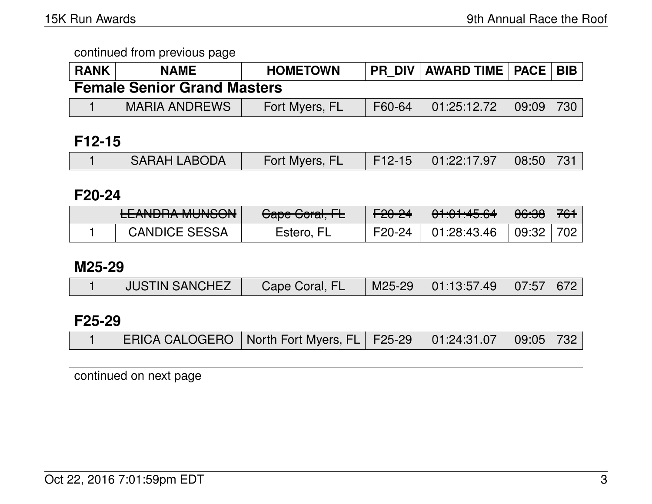| <b>RANK</b> | <b>NAME</b>                        | <b>HOMETOWN</b> |        | PR DIV   AWARD TIME   PACE   BIB |       |     |
|-------------|------------------------------------|-----------------|--------|----------------------------------|-------|-----|
|             | <b>Female Senior Grand Masters</b> |                 |        |                                  |       |     |
|             | <b>MARIA ANDREWS</b>               | Fort Myers, FL  | F60-64 | 01:25:12.72                      | 09:09 | 730 |

## **F12-15**

| <b>SARAH LABODA</b> | Fort Myers, FL | $\mid$ F12-15 $\mid$ 01:22:17.97 $\mid$ 08:50 $\mid$ 731 |  |
|---------------------|----------------|----------------------------------------------------------|--|

## **F20-24**

| LEANINDA MUNICONI<br><b>LLANUMA MUNOUV</b> | $Case Case \square$<br><del>Uape Guidi, FE</del> | <del>F20-24</del> | 0.1.01.15 <sub>C</sub><br><del>01.01.40.04</del> | <del>06:38</del> | <del>761</del> |
|--------------------------------------------|--------------------------------------------------|-------------------|--------------------------------------------------|------------------|----------------|
| <b>CANDICE SESSA</b>                       | Estero, FL                                       | F20-24            | 01:28:43.46                                      | 09:32            | 702            |

### **M25-29**

|  | JUSTIN SANCHEZ | Cape Coral, FL |  | $\mid$ M25-29 $\mid$ 01:13:57.49 07:57 672 |  |  |
|--|----------------|----------------|--|--------------------------------------------|--|--|
|--|----------------|----------------|--|--------------------------------------------|--|--|

## **F25-29**

|  |  | ERICA CALOGERO   North Fort Myers, FL   F25-29   01:24:31.07   09:05   732 |  |  |  |  |
|--|--|----------------------------------------------------------------------------|--|--|--|--|
|--|--|----------------------------------------------------------------------------|--|--|--|--|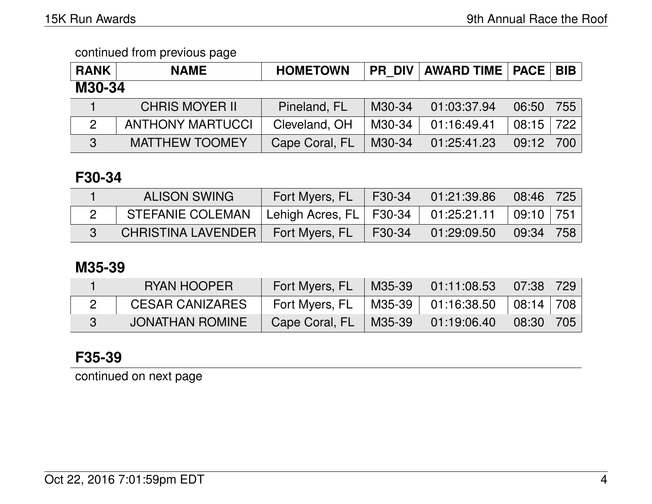| <b>RANK</b>    | <b>NAME</b>             | <b>HOMETOWN</b> | <b>PR DIV</b> | <b>AWARD TIME   PACE  </b> |       | <b>BIB</b> |  |
|----------------|-------------------------|-----------------|---------------|----------------------------|-------|------------|--|
| M30-34         |                         |                 |               |                            |       |            |  |
|                | <b>CHRIS MOYER II</b>   | Pineland, FL    | M30-34        | 01:03:37.94                | 06:50 | 755        |  |
| $\overline{2}$ | <b>ANTHONY MARTUCCI</b> | Cleveland, OH   | M30-34        | 01:16:49.41                | 08:15 | 722        |  |
| 3              | <b>MATTHEW TOOMEY</b>   | Cape Coral, FL  | M30-34        | 01:25:41.23                | 09:12 | 700        |  |

## **F30-34**

| <b>ALISON SWING</b>                                                      | Fort Myers, FL | F30-34 | 01:21:39.86 | $08:46$   725                     |  |
|--------------------------------------------------------------------------|----------------|--------|-------------|-----------------------------------|--|
| STEFANIE COLEMAN   Lehigh Acres, FL   F30-34   01:25:21.11   09:10   751 |                |        |             |                                   |  |
| <b>CHRISTINA LAVENDER</b>                                                | Fort Myers, FL | F30-34 | 01:29:09.50 | $\vert$ 09:34 $\vert$ 758 $\vert$ |  |

## **M35-39**

| RYAN HOOPER            | Fort Myers, FL | $M35-39$ | $01:11:08.53$ 07:38 729             |               |  |
|------------------------|----------------|----------|-------------------------------------|---------------|--|
| <b>CESAR CANIZARES</b> | Fort Myers, FL |          | 「M35-39   01:16:38.50   08:14   708 |               |  |
| JONATHAN ROMINE        | Cape Coral, FL | M35-39   | 01:19:06.40                         | $08:30$   705 |  |

# **F35-39**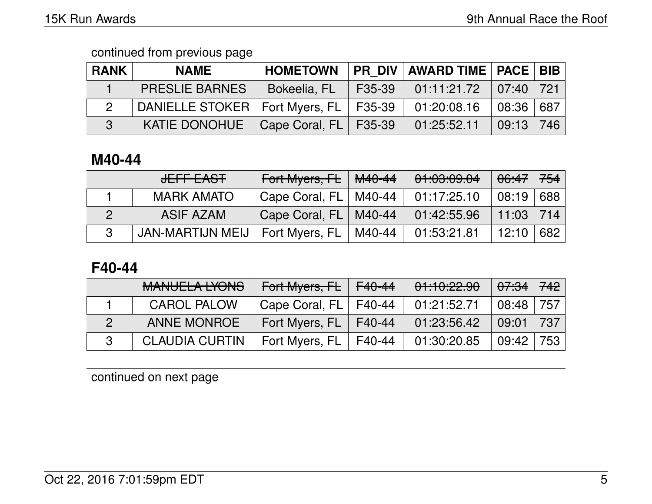| <b>RANK</b> | <b>NAME</b>                               | <b>HOMETOWN</b> |        | <b>PR DIV AWARD TIME   PACE   BIB</b> |       |     |
|-------------|-------------------------------------------|-----------------|--------|---------------------------------------|-------|-----|
|             | <b>PRESLIE BARNES</b>                     | Bokeelia, FL    | F35-39 | $01:11:21.72$ 07:40 721               |       |     |
|             | DANIELLE STOKER   Fort Myers, FL   F35-39 |                 |        | 01:20:08.16                           | 08:36 | 687 |
| 3           | KATIE DONOHUE   Cape Coral, FL   F35-39   |                 |        | 01:25:52.11                           | 09:13 | 746 |

## **M40-44**

| JEFF EAST         | Fort Myers, $FL$        | <del>M40-44</del> | 01:03:09.04 | 06:47 | 754 |
|-------------------|-------------------------|-------------------|-------------|-------|-----|
| <b>MARK AMATO</b> | Cape Coral, FL   M40-44 |                   | 01:17:25.10 | 08:19 | 688 |
| ASIF AZAM         | Cape Coral, FL   M40-44 |                   | 01:42:55.96 | 11:03 | 714 |
| JAN-MARTIJN MEIJ  | Fort Myers, FL          | M40-44            | 01:53:21.81 | 12:10 | 682 |

# **F40-44**

| MANILIEL A IVONIO<br><b>MANULLA LIVINO</b> | Fort Myers, FL | <del>F40-44</del> | 01:10:22.90 | 07:34 | 742  |
|--------------------------------------------|----------------|-------------------|-------------|-------|------|
| <b>CAROL PALOW</b>                         | Cape Coral, FL | F40-44            | 01:21:52.71 | 08:48 | -757 |
| <b>ANNE MONROE</b>                         | Fort Myers, FL | F40-44            | 01:23:56.42 | 09:01 | -737 |
| <b>CLAUDIA CURTIN</b>                      | Fort Myers, FL | F40-44            | 01:30:20.85 | 09:42 | 753  |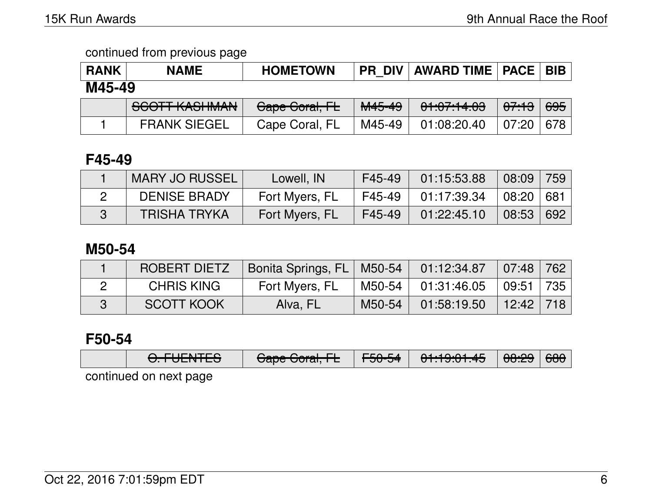| <b>RANK</b> | <b>NAME</b>                                    | <b>HOMETOWN</b> | <b>PR DIV</b>        | <b>AWARD TIME   PACE  </b>           |                                       | <b>BIB</b> |  |  |
|-------------|------------------------------------------------|-----------------|----------------------|--------------------------------------|---------------------------------------|------------|--|--|
|             | M45-49                                         |                 |                      |                                      |                                       |            |  |  |
|             | COOTT VACUIMAN<br><b>DUUTTI IVAJI IIVIAI Y</b> | Cape Coral, FL  | $MAF$ $AO$<br>™+ਹ++ਹ | 0.4.07.14.00<br><u> UT.UT. TH.UJ</u> | $\Omega$ . 4 $\Omega$<br><u>ਯਾ.ਜਹ</u> | 695        |  |  |

| UU I MAJI IMAM   UNAJ UNAJ IL   IMPOHO   UTIVITHIVO   UTIVITI I IUMO |  |  |  |
|----------------------------------------------------------------------|--|--|--|
| FRANK SIEGEL   Cape Coral, FL   M45-49   01:08:20.40   07:20   678   |  |  |  |

## **F45-49**

| MARY JO RUSSEL      | Lowell, IN     | F45-49 | 01:15:53.88 | 08:09         | 759   |
|---------------------|----------------|--------|-------------|---------------|-------|
| <b>DENISE BRADY</b> | Fort Myers, FL | F45-49 | 01:17:39.34 | $\vert$ 08:20 | 681 ∣ |
| <b>TRISHA TRYKA</b> | Fort Myers, FL | F45-49 | 01:22:45.10 | 08:53         | 692   |

### **M50-54**

| <b>ROBERT DIETZ</b> | Bonita Springs, FL   M50-54 |          | 01:12:34.87        | $\vert$ 07:48       | 762 |
|---------------------|-----------------------------|----------|--------------------|---------------------|-----|
| <b>CHRIS KING</b>   | Fort Myers, FL              | M50-54 l | $01:31:46.05$ $\;$ | $\mid$ 09:51 $\mid$ | 735 |
| <b>SCOTT KOOK</b>   | Alva, FL                    | M50-54   | 01:58:19.50        | $12:42$   718       |     |

## **F50-54**

| $\cap$ $\Gamma$ uenter | Cano Caval EL             | FFAFA                    | $0.4.40.04 \text{ AF}$   | 0.00         | non.             |  |  |  |
|------------------------|---------------------------|--------------------------|--------------------------|--------------|------------------|--|--|--|
| <del>U.TULIVILU</del>  | <del>Uape Gorar, TE</del> | <del>। ਰਾਹਾਂ ਹਾਂ ਜ</del> | , <del>טו.וט.פו.וט</del> | <b>UO.ZJ</b> | $\overline{500}$ |  |  |  |
| continued on novt nogo |                           |                          |                          |              |                  |  |  |  |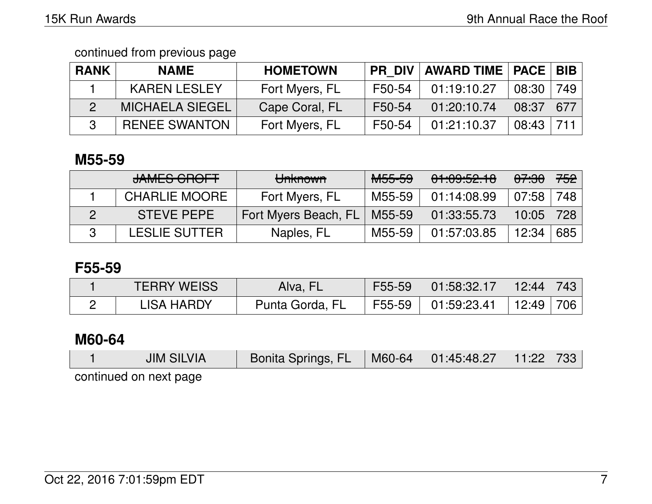| <b>RANK</b> | <b>NAME</b>            | <b>HOMETOWN</b> |        | <b>PR DIV AWARD TIME PACE BIB</b> |       |     |
|-------------|------------------------|-----------------|--------|-----------------------------------|-------|-----|
|             | <b>KAREN LESLEY</b>    | Fort Myers, FL  | F50-54 | 01:19:10.27                       | 08:30 | 749 |
|             | <b>MICHAELA SIEGEL</b> | Cape Coral, FL  | F50-54 | 01:20:10.74                       | 08:37 | 677 |
|             | <b>RENEE SWANTON</b>   | Fort Myers, FL  | F50-54 | 01:21:10.37                       | 08:43 | 711 |

## **M55-59**

| <u>IAMEC COOLT</u><br><u>ד זוטוובט טרווסט</u> | <del>Unknown</del>   | <del>M55-59</del> | 01:09:52.18 | <del>07:30</del> | 752 |
|-----------------------------------------------|----------------------|-------------------|-------------|------------------|-----|
| <b>CHARLIE MOORE</b>                          | Fort Myers, FL       | M55-59            | 01:14:08.99 | 07:58            | 748 |
| <b>STEVE PEPE</b>                             | Fort Myers Beach, FL | M55-59            | 01:33:55.73 | 10:05            | 728 |
| <b>LESLIE SUTTER</b>                          | Naples, FL           | M55-59            | 01:57:03.85 | 12:34            | 685 |

## **F55-59**

| <b>TERRY WEISS</b> | Alva, FL        | F55-59 | 01:58:32.17        | 12:44   743 |     |
|--------------------|-----------------|--------|--------------------|-------------|-----|
| <b>LISA HARDY</b>  | Punta Gorda, FL |        | F55-59 01:59:23.41 | 12:49∣      | 706 |

## **M60-64**

| <b>JIM SILVIA</b>      | Bonita Springs, FL | $\parallel$ M60-64 $\parallel$ 01:45:48.27 $\parallel$ 11:22 $\parallel$ 733 $\parallel$ |  |
|------------------------|--------------------|------------------------------------------------------------------------------------------|--|
| continued on next page |                    |                                                                                          |  |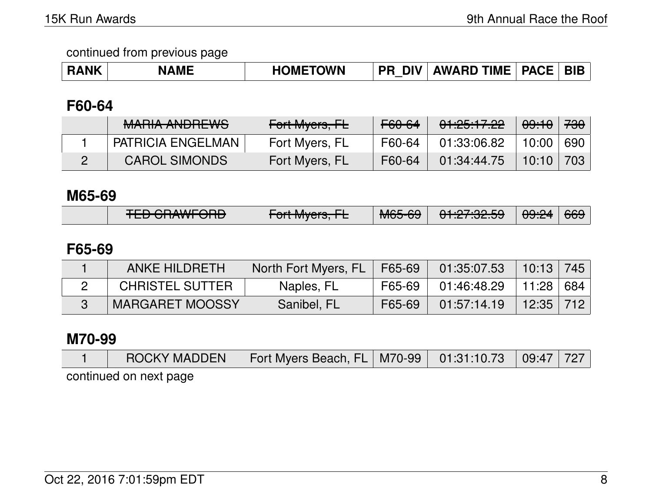| <b>RANK</b> | <b>NAME</b> | <b>HOMETOWN</b> | <b>DIV</b><br>РR | <b>AWARD TIME</b> | <b>PACE</b> | <b>BIE</b> |
|-------------|-------------|-----------------|------------------|-------------------|-------------|------------|
|-------------|-------------|-----------------|------------------|-------------------|-------------|------------|

## **F60-64**

| <b>MARIA ANDREWS</b>     | Fort Myers, FL | F60-64 | 01:25:17.22 | <del>09:10</del> | <del>730</del> |
|--------------------------|----------------|--------|-------------|------------------|----------------|
| <b>PATRICIA ENGELMAN</b> | Fort Myers, FL | F60-64 | 01:33:06.82 | 10:00            | 690            |
| <b>CAROL SIMONDS</b>     | Fort Myers, FL | F60-64 | 01:34:44.75 | 10:10            | 703            |

### **M65-69**

| <b>TED OD MUFODD</b> | $T_{\alpha}$ <sup>+</sup> M <sub>uare</sub> $\Gamma$ | $MCE$ CO | 0.4.07.00E <sub>0</sub>                                                                                       | $\bigcap \bigcap A$ | C <sub>CD</sub>  |
|----------------------|------------------------------------------------------|----------|---------------------------------------------------------------------------------------------------------------|---------------------|------------------|
| TLU UNAWI UNU        | $T$ UITIVIYUIS, ITE                                  | ᠊ᠳᡂ᠆ᠸᠣ   | THE SUBJECT OF THE STATE OF THE STATE OF THE STATE OF THE STATE OF THE STATE OF THE STATE OF THE STATE OF THE | 00.ZT               | $\overline{UUU}$ |

## **F65-69**

| <b>ANKE HILDRETH</b>   | <b>North Fort Myers, FL</b> | F65-69 | 01:35:07.53 | 10:13         | 745 |
|------------------------|-----------------------------|--------|-------------|---------------|-----|
| <b>CHRISTEL SUTTER</b> | Naples, FL                  | F65-69 | 01:46:48.29 | $11:28$ 684   |     |
| <b>MARGARET MOOSSY</b> | Sanibel, FL                 | F65-69 | 01:57:14.19 | $12:35$   712 |     |

## **M70-99**

|                        | ROCKY MADDEN Fort Myers Beach, FL   M70-99   01:31:10.73   09:47   727 |  |  |
|------------------------|------------------------------------------------------------------------|--|--|
| continued on next page |                                                                        |  |  |